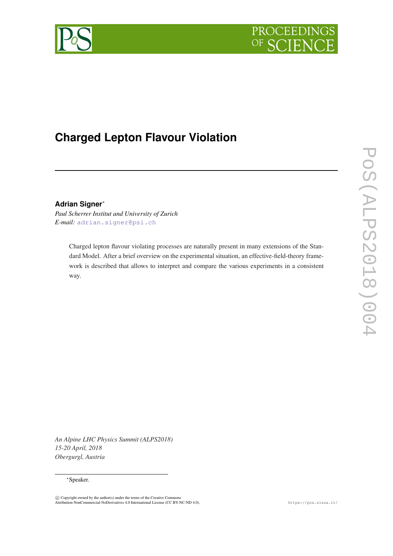



# **Charged Lepton Flavour Violation**

## **Adrian Signer**<sup>∗</sup>

*Paul Scherrer Institut and University of Zurich E-mail:* [adrian.signer@psi.ch](mailto:adrian.signer@psi.ch)

> Charged lepton flavour violating processes are naturally present in many extensions of the Standard Model. After a brief overview on the experimental situation, an effective-field-theory framework is described that allows to interpret and compare the various experiments in a consistent way.

*An Alpine LHC Physics Summit (ALPS2018) 15-20 April, 2018 Obergurgl, Austria*

#### <sup>∗</sup>Speaker.

 $\odot$  Copyright owned by the author(s) under the terms of the Creative Commons Attribution-NonCommercial-NoDerivatives 4.0 International License (CC BY-NC-ND 4.0). https://pos.sissa.it/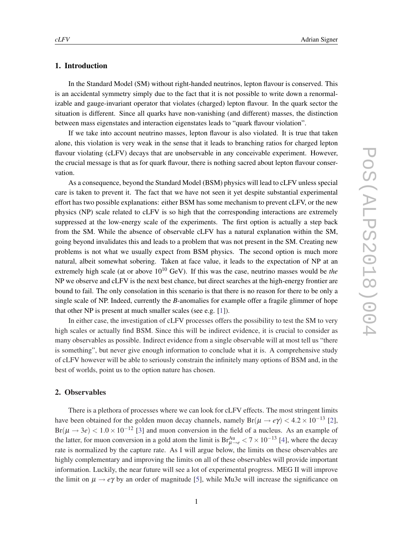## 1. Introduction

In the Standard Model (SM) without right-handed neutrinos, lepton flavour is conserved. This is an accidental symmetry simply due to the fact that it is not possible to write down a renormalizable and gauge-invariant operator that violates (charged) lepton flavour. In the quark sector the situation is different. Since all quarks have non-vanishing (and different) masses, the distinction between mass eigenstates and interaction eigenstates leads to "quark flavour violation".

If we take into account neutrino masses, lepton flavour is also violated. It is true that taken alone, this violation is very weak in the sense that it leads to branching ratios for charged lepton flavour violating (cLFV) decays that are unobservable in any conceivable experiment. However, the crucial message is that as for quark flavour, there is nothing sacred about lepton flavour conservation.

As a consequence, beyond the Standard Model (BSM) physics will lead to cLFV unless special care is taken to prevent it. The fact that we have not seen it yet despite substantial experimental effort has two possible explanations: either BSM has some mechanism to prevent cLFV, or the new physics (NP) scale related to cLFV is so high that the corresponding interactions are extremely suppressed at the low-energy scale of the experiments. The first option is actually a step back from the SM. While the absence of observable cLFV has a natural explanation within the SM, going beyond invalidates this and leads to a problem that was not present in the SM. Creating new problems is not what we usually expect from BSM physics. The second option is much more natural, albeit somewhat sobering. Taken at face value, it leads to the expectation of NP at an extremely high scale (at or above  $10^{10}$  GeV). If this was the case, neutrino masses would be *the* NP we observe and cLFV is the next best chance, but direct searches at the high-energy frontier are bound to fail. The only consolation in this scenario is that there is no reason for there to be only a single scale of NP. Indeed, currently the *B*-anomalies for example offer a fragile glimmer of hope that other NP is present at much smaller scales (see e.g. [[1](#page-6-0)]).

In either case, the investigation of cLFV processes offers the possibility to test the SM to very high scales or actually find BSM. Since this will be indirect evidence, it is crucial to consider as many observables as possible. Indirect evidence from a single observable will at most tell us "there is something", but never give enough information to conclude what it is. A comprehensive study of cLFV however will be able to seriously constrain the infinitely many options of BSM and, in the best of worlds, point us to the option nature has chosen.

## 2. Observables

There is a plethora of processes where we can look for cLFV effects. The most stringent limits have been obtained for the golden muon decay channels, namely  $Br(\mu \to e\gamma) < 4.2 \times 10^{-13}$  [\[2\]](#page-6-0),  $Br(\mu \rightarrow 3e) < 1.0 \times 10^{-12}$  [[3\]](#page-6-0) and muon conversion in the field of a nucleus. As an example of the latter, for muon conversion in a gold atom the limit is  $Br_{\mu\to e}^{\text{Au}} < 7 \times 10^{-13}$  [\[4\]](#page-6-0), where the decay rate is normalized by the capture rate. As I will argue below, the limits on these observables are highly complementary and improving the limits on all of these observables will provide important information. Luckily, the near future will see a lot of experimental progress. MEG II will improve the limit on  $\mu \rightarrow e\gamma$  by an order of magnitude [[5](#page-6-0)], while Mu3e will increase the significance on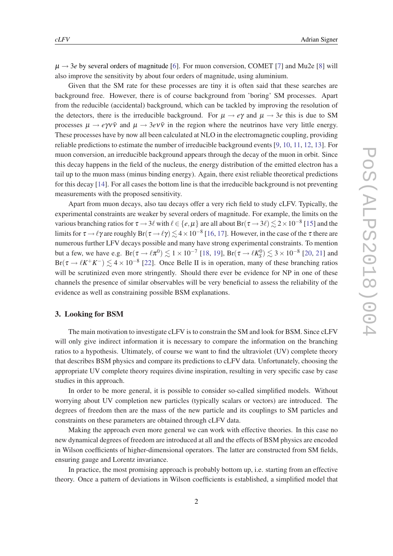$\mu \rightarrow 3e$  by several orders of magnitude [[6](#page-7-0)]. For muon conversion, COMET [\[7\]](#page-7-0) and Mu2e [\[8](#page-7-0)] will also improve the sensitivity by about four orders of magnitude, using aluminium.

Given that the SM rate for these processes are tiny it is often said that these searches are background free. However, there is of course background from 'boring' SM processes. Apart from the reducible (accidental) background, which can be tackled by improving the resolution of the detectors, there is the irreducible background. For  $\mu \to e\gamma$  and  $\mu \to 3e$  this is due to SM processes  $\mu \to e\gamma v\bar{v}$  and  $\mu \to 3e\gamma v\bar{v}$  in the region where the neutrinos have very little energy. These processes have by now all been calculated at NLO in the electromagnetic coupling, providing reliable predictions to estimate the number of irreducible background events [\[9,](#page-7-0) [10](#page-7-0), [11](#page-7-0), [12](#page-7-0), [13](#page-7-0)]. For muon conversion, an irreducible background appears through the decay of the muon in orbit. Since this decay happens in the field of the nucleus, the energy distribution of the emitted electron has a tail up to the muon mass (minus binding energy). Again, there exist reliable theoretical predictions for this decay [[14\]](#page-7-0). For all cases the bottom line is that the irreducible background is not preventing measurements with the proposed sensitivity.

Apart from muon decays, also tau decays offer a very rich field to study cLFV. Typically, the experimental constraints are weaker by several orders of magnitude. For example, the limits on the various branching ratios for  $\tau$   $\to$  3 $\ell$  with  $\ell$   $\in$   $\{e,\mu\}$  are all about Br( $\tau$   $\to$  3 $\ell$ )  $\lesssim$  2  $\times$  10<sup>-8</sup> [[15\]](#page-7-0) and the limits for  $\tau \to \ell \gamma$  are roughly  ${\rm Br}(\tau \to \ell \gamma) \lesssim 4\times 10^{-8}$  [[16](#page-7-0), [17](#page-7-0)]. However, in the case of the  $\tau$  there are numerous further LFV decays possible and many have strong experimental constraints. To mention but a few, we have e.g.  $Br(\tau \to \ell \pi^0) \lesssim 1 \times 10^{-7}$  [\[18](#page-7-0), [19](#page-7-0)],  $Br(\tau \to \ell K_S^0) \lesssim 3 \times 10^{-8}$  [[20,](#page-7-0) [21](#page-7-0)] and  $Br(\tau \to \ell K^+ K^-) \lesssim 4 \times 10^{-8}$  [[22\]](#page-7-0). Once Belle II is in operation, many of these branching ratios will be scrutinized even more stringently. Should there ever be evidence for NP in one of these channels the presence of similar observables will be very beneficial to assess the reliability of the evidence as well as constraining possible BSM explanations.

## 3. Looking for BSM

The main motivation to investigate cLFV is to constrain the SM and look for BSM. Since cLFV will only give indirect information it is necessary to compare the information on the branching ratios to a hypothesis. Ultimately, of course we want to find the ultraviolet (UV) complete theory that describes BSM physics and compare its predictions to cLFV data. Unfortunately, choosing the appropriate UV complete theory requires divine inspiration, resulting in very specific case by case studies in this approach.

In order to be more general, it is possible to consider so-called simplified models. Without worrying about UV completion new particles (typically scalars or vectors) are introduced. The degrees of freedom then are the mass of the new particle and its couplings to SM particles and constraints on these parameters are obtained through cLFV data.

Making the approach even more general we can work with effective theories. In this case no new dynamical degrees of freedom are introduced at all and the effects of BSM physics are encoded in Wilson coefficients of higher-dimensional operators. The latter are constructed from SM fields, ensuring gauge and Lorentz invariance.

In practice, the most promising approach is probably bottom up, i.e. starting from an effective theory. Once a pattern of deviations in Wilson coefficients is established, a simplified model that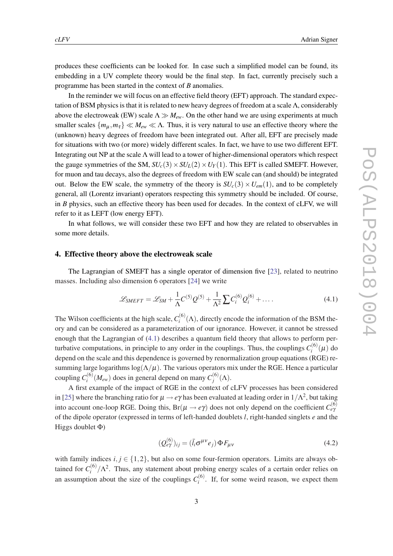<span id="page-3-0"></span>produces these coefficients can be looked for. In case such a simplified model can be found, its embedding in a UV complete theory would be the final step. In fact, currently precisely such a programme has been started in the context of *B* anomalies.

In the reminder we will focus on an effective field theory (EFT) approach. The standard expectation of BSM physics is that it is related to new heavy degrees of freedom at a scale  $\Lambda$ , considerably above the electroweak (EW) scale  $\Lambda \gg M_{ew}$ . On the other hand we are using experiments at much smaller scales  $\{m_{\mu},m_{\tau}\}\ll M_{ew}\ll \Lambda$ . Thus, it is very natural to use an effective theory where the (unknown) heavy degrees of freedom have been integrated out. After all, EFT are precisely made for situations with two (or more) widely different scales. In fact, we have to use two different EFT. Integrating out NP at the scale Λ will lead to a tower of higher-dimensional operators which respect the gauge symmetries of the SM,  $SU_c(3) \times SU_L(2) \times U_Y(1)$ . This EFT is called SMEFT. However, for muon and tau decays, also the degrees of freedom with EW scale can (and should) be integrated out. Below the EW scale, the symmetry of the theory is  $SU_c(3) \times U_{em}(1)$ , and to be completely general, all (Lorentz invariant) operators respecting this symmetry should be included. Of course, in *B* physics, such an effective theory has been used for decades. In the context of cLFV, we will refer to it as LEFT (low energy EFT).

In what follows, we will consider these two EFT and how they are related to observables in some more details.

#### 4. Effective theory above the electroweak scale

The Lagrangian of SMEFT has a single operator of dimension five [\[23](#page-7-0)], related to neutrino masses. Including also dimension 6 operators [[24](#page-7-0)] we write

$$
\mathcal{L}_{SMEFT} = \mathcal{L}_{SM} + \frac{1}{\Lambda} C^{(5)} Q^{(5)} + \frac{1}{\Lambda^2} \sum C_i^{(6)} Q_i^{(6)} + \dots
$$
 (4.1)

The Wilson coefficients at the high scale,  $C_i^{(6)}$  $i^{(0)}($ A), directly encode the information of the BSM theory and can be considered as a parameterization of our ignorance. However, it cannot be stressed enough that the Lagrangian of (4.1) describes a quantum field theory that allows to perform perturbative computations, in principle to any order in the couplings. Thus, the couplings  $C_i^{(6)}$  $f_i^{(0)}(\mu)$  do depend on the scale and this dependence is governed by renormalization group equations (RGE) resumming large logarithms  $\log(\Lambda/\mu)$ . The various operators mix under the RGE. Hence a particular coupling  $C_i^{(6)}$  $\mathcal{L}_i^{(6)}(M_{ew})$  does in general depend on many  $C_j^{(6)}$ *j* (Λ).

A first example of the impact of RGE in the context of cLFV processes has been considered in [[25\]](#page-7-0) where the branching ratio for  $\mu \to e\gamma$  has been evaluated at leading order in  $1/\Lambda^2$ , but taking into account one-loop RGE. Doing this,  $Br(\mu \to e\gamma)$  does not only depend on the coefficient  $C_{e\gamma}^{(6)}$ of the dipole operator (expressed in terms of left-handed doublets *l*, right-handed singlets *e* and the Higgs doublet Φ)

$$
(Q_{e\gamma}^{(6)})_{ij} = (\bar{l}_i \sigma^{\mu\nu} e_j) \Phi F_{\mu\nu}
$$
\n(4.2)

with family indices *i*,  $j \in \{1,2\}$ , but also on some four-fermion operators. Limits are always obtained for  $C_i^{(6)}$  $\int_{i}^{(6)}/\Lambda^2$ . Thus, any statement about probing energy scales of a certain order relies on an assumption about the size of the couplings  $C_i^{(6)}$  $i^{(0)}$ . If, for some weird reason, we expect them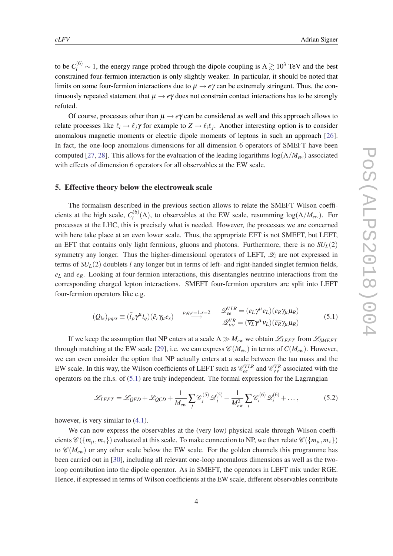to be  $C_i^{(6)} \sim 1$ , the energy range probed through the dipole coupling is  $\Lambda \gtrsim 10^3$  TeV and the best constrained four-fermion interaction is only slightly weaker. In particular, it should be noted that limits on some four-fermion interactions due to  $\mu \rightarrow e\gamma$  can be extremely stringent. Thus, the continuously repeated statement that  $\mu \rightarrow e\gamma$  does not constrain contact interactions has to be strongly refuted.

Of course, processes other than  $\mu \rightarrow e\gamma$  can be considered as well and this approach allows to relate processes like  $\ell_i \to \ell_j \gamma$  for example to  $Z \to \ell_i \ell_j$ . Another interesting option is to consider anomalous magnetic moments or electric dipole moments of leptons in such an approach [[26\]](#page-8-0). In fact, the one-loop anomalous dimensions for all dimension 6 operators of SMEFT have been computed [\[27](#page-8-0), [28\]](#page-8-0). This allows for the evaluation of the leading logarithms log(Λ/*Mew*) associated with effects of dimension 6 operators for all observables at the EW scale.

#### 5. Effective theory below the electroweak scale

The formalism described in the previous section allows to relate the SMEFT Wilson coefficients at the high scale,  $C_i^{(6)}$  $i^{(0)}(\Lambda)$ , to observables at the EW scale, resumming  $log(\Lambda/M_{ew})$ . For processes at the LHC, this is precisely what is needed. However, the processes we are concerned with here take place at an even lower scale. Thus, the appropriate EFT is not SMEFT, but LEFT, an EFT that contains only light fermions, gluons and photons. Furthermore, there is no  $SU<sub>L</sub>(2)$ symmetry any longer. Thus the higher-dimensional operators of LEFT,  $\mathcal{Q}_i$  are not expressed in terms of *SUL*(2) doublets *l* any longer but in terms of left- and right-handed singlet fermion fields,  $e<sub>L</sub>$  and  $e<sub>R</sub>$ . Looking at four-fermion interactions, this disentangles neutrino interactions from the corresponding charged lepton interactions. SMEFT four-fermion operators are split into LEFT four-fermion operators like e.g.

$$
(Q_{le})_{pqrs} \equiv (\bar{l}_p \gamma^{\mu} l_q)(\bar{e}_r \gamma_{\mu} e_s) \qquad p,q,r=1,s=2 \qquad \mathcal{Q}_{ee}^{VLR} = (\overline{e_L} \gamma^{\mu} e_L)(\overline{e_R} \gamma_{\mu} \mu_R) \mathcal{Q}_{VV}^{VR} = (\overline{\nu_L} \gamma^{\mu} \nu_L)(\overline{e_R} \gamma_{\mu} \mu_R)
$$
\n(5.1)

If we keep the assumption that NP enters at a scale  $\Lambda \gg M_{ew}$  we obtain  $\mathscr{L}_{LEFT}$  from  $\mathscr{L}_{SMEFT}$ through matching at the EW scale [[29](#page-8-0)], i.e. we can express  $\mathcal{C}(M_{ew})$  in terms of  $C(M_{ew})$ . However, we can even consider the option that NP actually enters at a scale between the tau mass and the EW scale. In this way, the Wilson coefficients of LEFT such as  $\mathcal{C}_{ee}^{VLR}$  and  $\mathcal{C}_{VV}^{VR}$  associated with the operators on the r.h.s. of (5.1) are truly independent. The formal expression for the Lagrangian

$$
\mathcal{L}_{LEFT} = \mathcal{L}_{QED} + \mathcal{L}_{QCD} + \frac{1}{M_{ew}} \sum_{j} \mathcal{C}_{j}^{(5)} \mathcal{Q}_{j}^{(5)} + \frac{1}{M_{ew}^{2}} \sum_{i} \mathcal{C}_{i}^{(6)} \mathcal{Q}_{i}^{(6)} + \dots,
$$
 (5.2)

however, is very similar to [\(4.1\)](#page-3-0).

We can now express the observables at the (very low) physical scale through Wilson coefficients  $\mathscr{C}(\{m_u, m_{\tau}\})$  evaluated at this scale. To make connection to NP, we then relate  $\mathscr{C}(\{m_u, m_{\tau}\})$ to  $\mathscr{C}(M_{ew})$  or any other scale below the EW scale. For the golden channels this programme has been carried out in [\[30](#page-8-0)], including all relevant one-loop anomalous dimensions as well as the twoloop contribution into the dipole operator. As in SMEFT, the operators in LEFT mix under RGE. Hence, if expressed in terms of Wilson coefficients at the EW scale, different observables contribute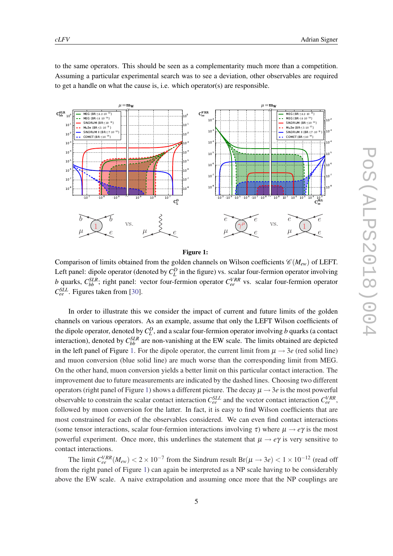<span id="page-5-0"></span>to the same operators. This should be seen as a complementarity much more than a competition. Assuming a particular experimental search was to see a deviation, other observables are required to get a handle on what the cause is, i.e. which operator(s) are responsible.



Figure 1:

Comparison of limits obtained from the golden channels on Wilson coefficients  $\mathscr{C}(M_{ew})$  of LEFT. Left panel: dipole operator (denoted by  $C_L^D$  in the figure) vs. scalar four-fermion operator involving *b* quarks,  $C_{bb}^{SLR}$ ; right panel: vector four-fermion operator  $C_{ee}^{VRR}$  vs. scalar four-fermion operator *C SLL ee* . Figures taken from [\[30](#page-8-0)].

In order to illustrate this we consider the impact of current and future limits of the golden channels on various operators. As an example, assume that only the LEFT Wilson coefficients of the dipole operator, denoted by  $C_L^D$ , and a scalar four-fermion operator involving *b* quarks (a contact interaction), denoted by  $C_{bb}^{SLR}$  are non-vanishing at the EW scale. The limits obtained are depicted in the left panel of Figure 1. For the dipole operator, the current limit from  $\mu \rightarrow 3e$  (red solid line) and muon conversion (blue solid line) are much worse than the corresponding limit from MEG. On the other hand, muon conversion yields a better limit on this particular contact interaction. The improvement due to future measurements are indicated by the dashed lines. Choosing two different operators (right panel of Figure 1) shows a different picture. The decay  $\mu \rightarrow 3e$  is the most powerful observable to constrain the scalar contact interaction  $C_{ee}^{SLL}$  and the vector contact interaction  $C_{ee}^{VRR}$ , followed by muon conversion for the latter. In fact, it is easy to find Wilson coefficients that are most constrained for each of the observables considered. We can even find contact interactions (some tensor interactions, scalar four-fermion interactions involving  $\tau$ ) where  $\mu \rightarrow e\gamma$  is the most powerful experiment. Once more, this underlines the statement that  $\mu \rightarrow e\gamma$  is very sensitive to contact interactions.

The limit  $C_{ee}^{VRR}(M_{ew})$  < 2 × 10<sup>-7</sup> from the Sindrum result Br( $\mu \to 3e$ ) < 1 × 10<sup>-12</sup> (read off from the right panel of Figure 1) can again be interpreted as a NP scale having to be considerably above the EW scale. A naive extrapolation and assuming once more that the NP couplings are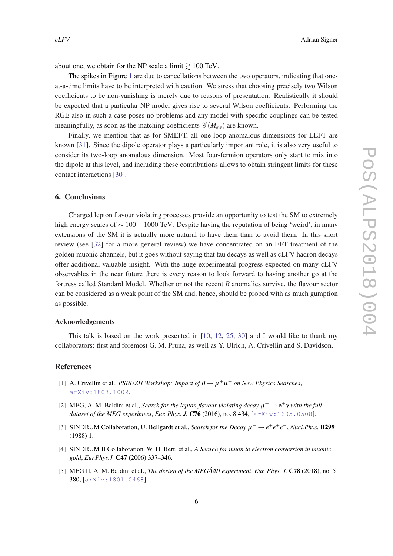<span id="page-6-0"></span>about one, we obtain for the NP scale a limit  $\gtrsim 100$  TeV.

The spikes in Figure [1](#page-5-0) are due to cancellations between the two operators, indicating that oneat-a-time limits have to be interpreted with caution. We stress that choosing precisely two Wilson coefficients to be non-vanishing is merely due to reasons of presentation. Realistically it should be expected that a particular NP model gives rise to several Wilson coefficients. Performing the RGE also in such a case poses no problems and any model with specific couplings can be tested meaningfully, as soon as the matching coefficients  $\mathcal{C}(M_{ew})$  are known.

Finally, we mention that as for SMEFT, all one-loop anomalous dimensions for LEFT are known [[31](#page-8-0)]. Since the dipole operator plays a particularly important role, it is also very useful to consider its two-loop anomalous dimension. Most four-fermion operators only start to mix into the dipole at this level, and including these contributions allows to obtain stringent limits for these contact interactions [[30\]](#page-8-0).

## 6. Conclusions

Charged lepton flavour violating processes provide an opportunity to test the SM to extremely high energy scales of ∼ 100−1000 TeV. Despite having the reputation of being 'weird', in many extensions of the SM it is actually more natural to have them than to avoid them. In this short review (see [[32\]](#page-8-0) for a more general review) we have concentrated on an EFT treatment of the golden muonic channels, but it goes without saying that tau decays as well as cLFV hadron decays offer additional valuable insight. With the huge experimental progress expected on many cLFV observables in the near future there is every reason to look forward to having another go at the fortress called Standard Model. Whether or not the recent *B* anomalies survive, the flavour sector can be considered as a weak point of the SM and, hence, should be probed with as much gumption as possible.

#### Acknowledgements

This talk is based on the work presented in [[10](#page-7-0), [12](#page-7-0), [25,](#page-7-0) [30](#page-8-0)] and I would like to thank my collaborators: first and foremost G. M. Pruna, as well as Y. Ulrich, A. Crivellin and S. Davidson.

#### **References**

- [1] A. Crivellin et al., *PSI/UZH Workshop: Impact of B*  $\rightarrow \mu^+\mu^-$  *on New Physics Searches*, [arXiv:1803.1009](http://xxx.lanl.gov/abs/1803.1009).
- [2] MEG, A. M. Baldini et al., *Search for the lepton flavour violating decay*  $\mu^+ \to e^+ \gamma$  *with the full dataset of the MEG experiment*, *Eur. Phys. J.* C76 (2016), no. 8 434, [[arXiv:1605.0508](http://xxx.lanl.gov/abs/1605.0508)].
- [3] SINDRUM Collaboration, U. Bellgardt et al., *Search for the Decay*  $\mu^+ \to e^+e^+e^-$ , *Nucl.Phys.* **B299** (1988) 1.
- [4] SINDRUM II Collaboration, W. H. Bertl et al., *A Search for muon to electron conversion in muonic gold*, *Eur.Phys.J.* C47 (2006) 337–346.
- [5] MEG II, A. M. Baldini et al., *The design of the MEGÂ all experiment*, *Eur. Phys. J.* **C78** (2018), no. 5 380, [[arXiv:1801.0468](http://xxx.lanl.gov/abs/1801.0468)].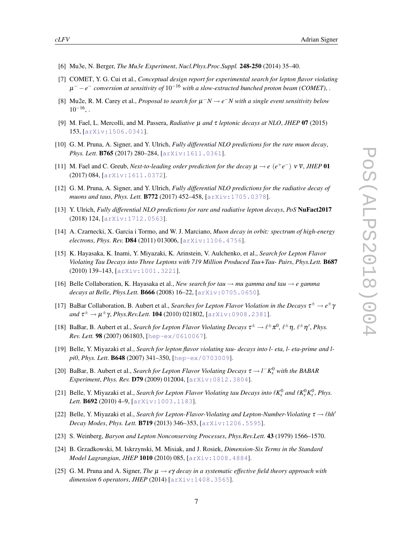- <span id="page-7-0"></span>[6] Mu3e, N. Berger, *The Mu3e Experiment*, *Nucl.Phys.Proc.Suppl.* 248-250 (2014) 35–40.
- [7] COMET, Y. G. Cui et al., *Conceptual design report for experimental search for lepton flavor violating* µ <sup>−</sup> −*e* <sup>−</sup> *conversion at sensitivity of* 10−<sup>16</sup> *with a slow-extracted bunched proton beam (COMET)*, .
- [8] Mu2e, R. M. Carey et al., *Proposal to search for*  $\mu^- N \to e^- N$  with a single event sensitivity below  $10^{-16}$ , .
- [9] M. Fael, L. Mercolli, and M. Passera, *Radiative* µ *and* τ *leptonic decays at NLO*, *JHEP* 07 (2015) 153, [[arXiv:1506.0341](http://xxx.lanl.gov/abs/1506.0341)].
- [10] G. M. Pruna, A. Signer, and Y. Ulrich, *Fully differential NLO predictions for the rare muon decay*, *Phys. Lett.* B765 (2017) 280–284, [[arXiv:1611.0361](http://xxx.lanl.gov/abs/1611.0361)].
- [11] M. Fael and C. Greub, *Next-to-leading order prediction for the decay*  $\mu \to e^+e^ \nu \bar{\nu}$ , *JHEP* 01 (2017) 084, [[arXiv:1611.0372](http://xxx.lanl.gov/abs/1611.0372)].
- [12] G. M. Pruna, A. Signer, and Y. Ulrich, *Fully differential NLO predictions for the radiative decay of muons and taus*, *Phys. Lett.* B772 (2017) 452–458, [[arXiv:1705.0378](http://xxx.lanl.gov/abs/1705.0378)].
- [13] Y. Ulrich, *Fully differential NLO predictions for rare and radiative lepton decays*, *PoS* NuFact2017 (2018) 124, [[arXiv:1712.0563](http://xxx.lanl.gov/abs/1712.0563)].
- [14] A. Czarnecki, X. Garcia i Tormo, and W. J. Marciano, *Muon decay in orbit: spectrum of high-energy electrons*, *Phys. Rev.* D84 (2011) 013006, [[arXiv:1106.4756](http://xxx.lanl.gov/abs/1106.4756)].
- [15] K. Hayasaka, K. Inami, Y. Miyazaki, K. Arinstein, V. Aulchenko, et al., *Search for Lepton Flavor Violating Tau Decays into Three Leptons with 719 Million Produced Tau+Tau- Pairs*, *Phys.Lett.* B687 (2010) 139–143, [[arXiv:1001.3221](http://xxx.lanl.gov/abs/1001.3221)].
- [16] Belle Collaboration, K. Hayasaka et al., *New search for tau*  $\rightarrow$  *mu gamma and tau*  $\rightarrow$  *e gamma decays at Belle*, *Phys.Lett.* B666 (2008) 16–22, [[arXiv:0705.0650](http://xxx.lanl.gov/abs/0705.0650)].
- [17] BaBar Collaboration, B. Aubert et al., *Searches for Lepton Flavor Violation in the Decays*  $\tau^{\pm} \to e^{\pm} \gamma$  $and$  τ<sup>±</sup> →  $μ$ <sup>±</sup>γ, *Phys.Rev.Lett.* **104** (2010) 021802, [[arXiv:0908.2381](http://xxx.lanl.gov/abs/0908.2381)].
- [18] BaBar, B. Aubert et al., *Search for Lepton Flavor Violating Decays*  $\tau^{\pm} \to \ell^{\pm} \pi^0$ ,  $\ell^{\pm} \eta$ ,  $\ell^{\pm} \eta'$ , *Phys. Rev. Lett.* 98 (2007) 061803, [[hep-ex/0610067](http://xxx.lanl.gov/abs/hep-ex/0610067)].
- [19] Belle, Y. Miyazaki et al., *Search for lepton flavor violating tau- decays into l- eta, l- eta-prime and lpi0*, *Phys. Lett.* B648 (2007) 341–350, [[hep-ex/0703009](http://xxx.lanl.gov/abs/hep-ex/0703009)].
- [20] BaBar, B. Aubert et al., *Search for Lepton Flavor Violating Decays*  $\tau \to l^- K_s^0$  *with the BABAR Experiment*, *Phys. Rev.* D79 (2009) 012004, [[arXiv:0812.3804](http://xxx.lanl.gov/abs/0812.3804)].
- [21] Belle, Y. Miyazaki et al., *Search for Lepton Flavor Violating tau Decays into*  $\ell K_s^0$  *and*  $\ell K_s^0 K_s^0$ *, <i>Phys. Lett.* B692 (2010) 4–9, [[arXiv:1003.1183](http://xxx.lanl.gov/abs/1003.1183)].
- [22] Belle, Y. Miyazaki et al., *Search for Lepton-Flavor-Violating and Lepton-Number-Violating*  $\tau \rightarrow \ell hh'$ *Decay Modes*, *Phys. Lett.* B719 (2013) 346–353, [[arXiv:1206.5595](http://xxx.lanl.gov/abs/1206.5595)].
- [23] S. Weinberg, *Baryon and Lepton Nonconserving Processes*, *Phys.Rev.Lett.* 43 (1979) 1566–1570.
- [24] B. Grzadkowski, M. Iskrzynski, M. Misiak, and J. Rosiek, *Dimension-Six Terms in the Standard Model Lagrangian*, *JHEP* 1010 (2010) 085, [[arXiv:1008.4884](http://xxx.lanl.gov/abs/1008.4884)].
- [25] G. M. Pruna and A. Signer, *The* µ → *e*γ *decay in a systematic effective field theory approach with dimension 6 operators*, *JHEP* (2014) [[arXiv:1408.3565](http://xxx.lanl.gov/abs/1408.3565)].